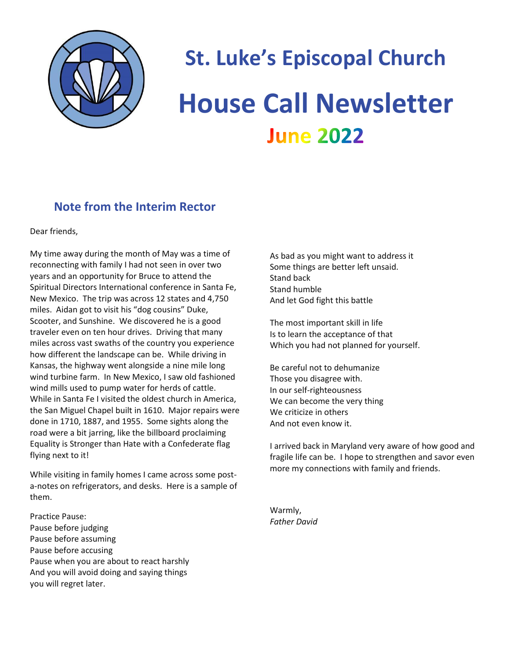

# **St. Luke's Episcopal Church House Call Newsletter June 2022**

# **Note from the Interim Rector**

Dear friends,

My time away during the month of May was a time of reconnecting with family I had not seen in over two years and an opportunity for Bruce to attend the Spiritual Directors International conference in Santa Fe, New Mexico. The trip was across 12 states and 4,750 miles. Aidan got to visit his "dog cousins" Duke, Scooter, and Sunshine. We discovered he is a good traveler even on ten hour drives. Driving that many miles across vast swaths of the country you experience how different the landscape can be. While driving in Kansas, the highway went alongside a nine mile long wind turbine farm. In New Mexico, I saw old fashioned wind mills used to pump water for herds of cattle. While in Santa Fe I visited the oldest church in America, the San Miguel Chapel built in 1610. Major repairs were done in 1710, 1887, and 1955. Some sights along the road were a bit jarring, like the billboard proclaiming Equality is Stronger than Hate with a Confederate flag flying next to it!

While visiting in family homes I came across some posta-notes on refrigerators, and desks. Here is a sample of them.

Practice Pause: Pause before judging Pause before assuming Pause before accusing Pause when you are about to react harshly And you will avoid doing and saying things you will regret later.

As bad as you might want to address it Some things are better left unsaid. Stand back Stand humble And let God fight this battle

The most important skill in life Is to learn the acceptance of that Which you had not planned for yourself.

Be careful not to dehumanize Those you disagree with. In our self-righteousness We can become the very thing We criticize in others And not even know it.

I arrived back in Maryland very aware of how good and fragile life can be. I hope to strengthen and savor even more my connections with family and friends.

Warmly, *Father David*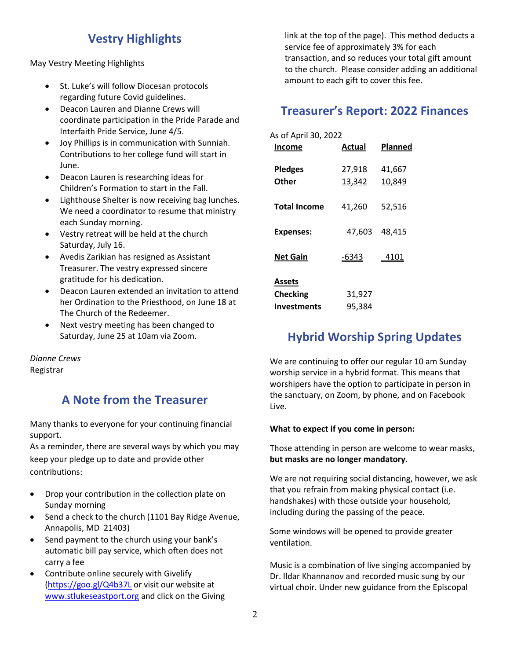## **Vestry Highlights**

May Vestry Meeting Highlights

- St. Luke's will follow Diocesan protocols regarding future Covid guidelines.
- Deacon Lauren and Dianne Crews will coordinate participation in the Pride Parade and Interfaith Pride Service, June 4/5.
- Joy Phillips is in communication with Sunniah. Contributions to her college fund will start in June.
- Deacon Lauren is researching ideas for Children's Formation to start in the Fall.
- Lighthouse Shelter is now receiving bag lunches. We need a coordinator to resume that ministry each Sunday morning.
- Vestry retreat will be held at the church Saturday, July 16.
- Avedis Zarikian has resigned as Assistant Treasurer. The vestry expressed sincere gratitude for his dedication.
- Deacon Lauren extended an invitation to attend her Ordination to the Priesthood, on June 18 at The Church of the Redeemer.
- Next vestry meeting has been changed to Saturday, June 25 at 10am via Zoom.

*Dianne Crews* Registrar

## **A Note from the Treasurer**

Many thanks to everyone for your continuing financial support.

As a reminder, there are several ways by which you may keep your pledge up to date and provide other contributions:

- Drop your contribution in the collection plate on Sunday morning
- Send a check to the church (1101 Bay Ridge Avenue, Annapolis, MD 21403)
- Send payment to the church using your bank's automatic bill pay service, which often does not carry a fee
- Contribute online securely with Givelify [\(https://goo.gl/Q4b37L](https://goo.gl/Q4b37L) or visit our website at [www.stlukeseastport.org](http://www.stlukeseastport.org/) and click on the Giving

link at the top of the page). This method deducts a service fee of approximately 3% for each transaction, and so reduces your total gift amount to the church. Please consider adding an additional amount to each gift to cover this fee.

### **Treasurer's Report: 2022 Finances**

| As of April 30, 2022<br><b>Income</b> | Actual           | Planned          |
|---------------------------------------|------------------|------------------|
| <b>Pledges</b><br><b>Other</b>        | 27,918<br>13,342 | 41,667<br>10,849 |
| <b>Total Income</b>                   | 41,260           | 52,516           |
| Expenses:                             | 47,603           | 48,415           |
| Net Gain                              | $-6343$          | <u>_4101</u>     |
| Assets                                |                  |                  |
| <b>Checking</b>                       | 31,927           |                  |
| <b>Investments</b>                    | 95.384           |                  |

## **Hybrid Worship Spring Updates**

We are continuing to offer our regular 10 am Sunday worship service in a hybrid format. This means that worshipers have the option to participate in person in the sanctuary, on Zoom, by phone, and on Facebook Live.

#### **What to expect if you come in person:**

Those attending in person are welcome to wear masks, **but masks are no longer mandatory**.

We are not requiring social distancing, however, we ask that you refrain from making physical contact (i.e. handshakes) with those outside your household, including during the passing of the peace.

Some windows will be opened to provide greater ventilation.

Music is a combination of live singing accompanied by Dr. Ildar Khannanov and recorded music sung by our virtual choir. Under new guidance from the Episcopal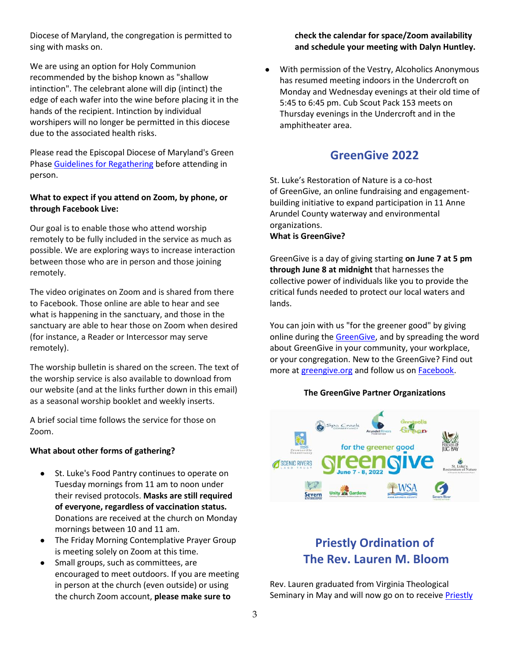Diocese of Maryland, the congregation is permitted to sing with masks on.

We are using an option for Holy Communion recommended by the bishop known as "shallow intinction". The celebrant alone will dip (intinct) the edge of each wafer into the wine before placing it in the hands of the recipient. Intinction by individual worshipers will no longer be permitted in this diocese due to the associated health risks.

Please read the Episcopal Diocese of Maryland's Green Phase [Guidelines for Regathering](https://r20.rs6.net/tn.jsp?f=001rQBS7KJtPo3XTR3zm8qDB1QIAeh1e9W5w6-w24dbXnSUAFE9Qjl_YmxHV_OJohcN8pDM425y33p5IX3OSgN21dvG9Z6k7PykRno_RoXbZNsNiMySomZqPqa1PjMKgkdv-T-rasD-P9v_tfccOLJqOvkqbt3wrwR2P7JpaWddLRYYzOFV_Drf0w==&c=Umpl4dFjJ0BidXtdPo_yqPQnw5aoquvoMTt9__CrvuQ1KqDIrn0paw==&ch=AWqrve4ASRsAjPazkfBOcTPMqWKyHh4b5OowmN_Z9uUoTIcbFtJF9Q==) before attending in person.

#### **What to expect if you attend on Zoom, by phone, or through Facebook Live:**

Our goal is to enable those who attend worship remotely to be fully included in the service as much as possible. We are exploring ways to increase interaction between those who are in person and those joining remotely.

The video originates on Zoom and is shared from there to Facebook. Those online are able to hear and see what is happening in the sanctuary, and those in the sanctuary are able to hear those on Zoom when desired (for instance, a Reader or Intercessor may serve remotely).

The worship bulletin is shared on the screen. The text of the worship service is also available to download from our website (and at the links further down in this email) as a seasonal worship booklet and weekly inserts.

A brief social time follows the service for those on Zoom.

#### **What about other forms of gathering?**

- St. Luke's Food Pantry continues to operate on Tuesday mornings from 11 am to noon under their revised protocols. **Masks are still required of everyone, regardless of vaccination status.** Donations are received at the church on Monday mornings between 10 and 11 am.
- The Friday Morning Contemplative Prayer Group is meeting solely on Zoom at this time.
- Small groups, such as committees, are encouraged to meet outdoors. If you are meeting in person at the church (even outside) or using the church Zoom account, **please make sure to**

#### **check the calendar for space/Zoom availability and schedule your meeting with Dalyn Huntley.**

● With permission of the Vestry, Alcoholics Anonymous has resumed meeting indoors in the Undercroft on Monday and Wednesday evenings at their old time of 5:45 to 6:45 pm. Cub Scout Pack 153 meets on Thursday evenings in the Undercroft and in the amphitheater area.

#### **GreenGive 2022**

St. Luke's Restoration of Nature is a co-host of GreenGive, an online fundraising and engagementbuilding initiative to expand participation in 11 Anne Arundel County waterway and environmental organizations.

#### **What is GreenGive?**

GreenGive is a day of giving starting **on June 7 at 5 pm through June 8 at midnight** that harnesses the collective power of individuals like you to provide the critical funds needed to protect our local waters and lands.

You can join with us "for the greener good" by giving online during the [GreenGive,](https://r20.rs6.net/tn.jsp?f=001q0Vpl_KYfCWKMFIWnuoesgp_SEYkyd0MKwK6zWJvW1JPeBFqYexQREbzXGuu_iVPxD2nX2awjyqV82agbFKQS-oVQINbyJnsQULU7pWAxVIUfihOlnpmcZ9lbLSZcEY0BnrhOnSjFCWaHm6DfeVhag==&c=&ch=) and by spreading the word about GreenGive in your community, your workplace, or your congregation. New to the GreenGive? Find out more at [greengive.org](https://r20.rs6.net/tn.jsp?f=001q0Vpl_KYfCWKMFIWnuoesgp_SEYkyd0MKwK6zWJvW1JPeBFqYexQREbzXGuu_iVPxD2nX2awjyqV82agbFKQS-oVQINbyJnsQULU7pWAxVIUfihOlnpmcZ9lbLSZcEY0BnrhOnSjFCWaHm6DfeVhag==&c=&ch=) and follow us on **Facebook**.

#### **The GreenGive Partner Organizations**



# **Priestly Ordination of The Rev. Lauren M. Bloom**

Rev. Lauren graduated from Virginia Theological Seminary in May and will now go on to receive Priestly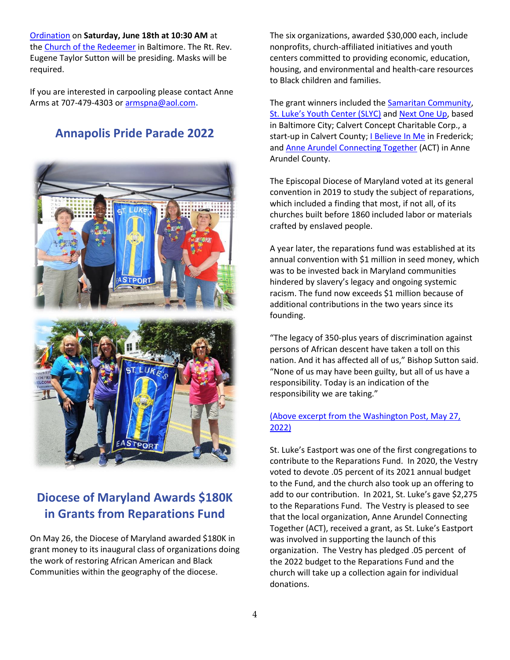[Ordination](https://r20.rs6.net/tn.jsp?f=001aG6irn-4xtP18OZA6Mjfkaf5ZL4JapWxr8rJHnkxuDoWT9HLICzd5eDrHNn1CyGoaeq1UhkUbR14hZ6_hQYngmEdJBrsG61oqW-TtZA75aiDB_mvx_ybVp6rmJKvOECE9OenKNYGyDV4HaX2R5l87zDDn_WXkutCN8JICHn0OJs1k1pY3pw7oNYP-bgx4VOB&c=aw32kpuMbLJ7I-frgkMn4j9ATHg47zl2247sZUuT0aqz12iK0cEUQA==&ch=LsMjOz03FpgqZ-xEIOeorKlJoGtnwQueZ4KkWQ9zkzLSz8GXAh7Z-A==) on **Saturday, June 18th at 10:30 AM** at the [Church of the Redeemer](https://r20.rs6.net/tn.jsp?f=001aG6irn-4xtP18OZA6Mjfkaf5ZL4JapWxr8rJHnkxuDoWT9HLICzd5eDrHNn1CyGohNdl4eSkA3hXTy7axAbba6sy_9LenGK6bfsfOLgB_78paIRRIJ9GSzq8IgoALnYzfQVwVJdzMKWLHMY1qhg1ag==&c=aw32kpuMbLJ7I-frgkMn4j9ATHg47zl2247sZUuT0aqz12iK0cEUQA==&ch=LsMjOz03FpgqZ-xEIOeorKlJoGtnwQueZ4KkWQ9zkzLSz8GXAh7Z-A==) in Baltimore. The Rt. Rev. Eugene Taylor Sutton will be presiding. Masks will be required.

If you are interested in carpooling please contact Anne Arms at 707-479-4303 or [armspna@aol.com](mailto:armspna@aol.com)**.**

## **Annapolis Pride Parade 2022**



# **Diocese of Maryland Awards \$180K in Grants from Reparations Fund**

On May 26, the Diocese of Maryland awarded \$180K in grant money to its inaugural class of organizations doing the work of restoring African American and Black Communities within the geography of the diocese.

The six organizations, awarded \$30,000 each, include nonprofits, church-affiliated initiatives and youth centers committed to providing economic, education, housing, and environmental and health-care resources to Black children and families.

The grant winners included th[e Samaritan Community,](https://www.samaritancommunity.org/) S[t. Luke's Youth Center \(SLYC\)](https://www.bmoreslyc.org/) an[d Next One Up,](https://www.nextoneup.org/) based in Baltimore City; Calvert Concept Charitable Corp., a start-up in Calvert County; *I Believe In Me in Frederick;* and [Anne Arundel Connecting Together](https://www.actaaco.org/about) (ACT) in Anne Arundel County.

The Episcopal Diocese of Maryland voted at its general convention in 2019 to study the subject of reparations, which included a finding that most, if not all, of its churches built before 1860 included labor or materials crafted by enslaved people.

A year later, the reparations fund was established at its annual convention with \$1 million in seed money, which was to be invested back in Maryland communities hindered by slavery's legacy and ongoing systemic racism. The fund now exceeds \$1 million because of additional contributions in the two years since its founding.

"The legacy of 350-plus years of discrimination against persons of African descent have taken a toll on this nation. And it has affected all of us," Bishop Sutton said. "None of us may have been guilty, but all of us have a responsibility. Today is an indication of the responsibility we are taking."

#### [\(Above excerpt from the Washington Post, May 27,](https://www.washingtonpost.com/dc-md-va/2022/05/26/reparations-maryland-episcopal-fund/)  [2022\)](https://www.washingtonpost.com/dc-md-va/2022/05/26/reparations-maryland-episcopal-fund/)

St. Luke's Eastport was one of the first congregations to contribute to the Reparations Fund. In 2020, the Vestry voted to devote .05 percent of its 2021 annual budget to the Fund, and the church also took up an offering to add to our contribution. In 2021, St. Luke's gave \$2,275 to the Reparations Fund. The Vestry is pleased to see that the local organization, Anne Arundel Connecting Together (ACT), received a grant, as St. Luke's Eastport was involved in supporting the launch of this organization. The Vestry has pledged .05 percent of the 2022 budget to the Reparations Fund and the church will take up a collection again for individual donations.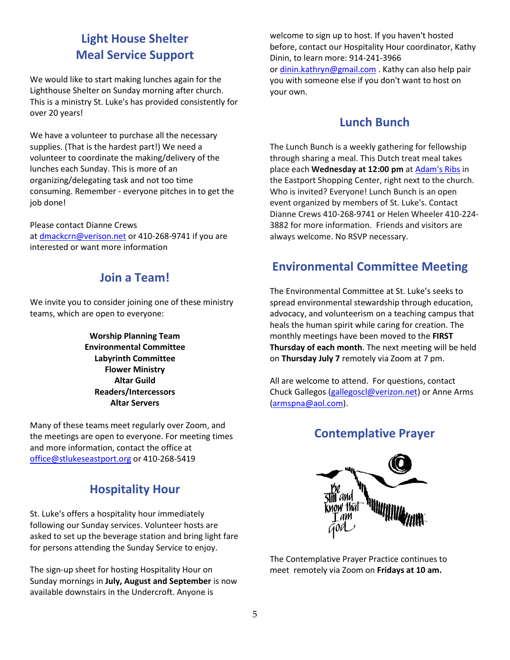# **Light House Shelter Meal Service Support**

We would like to start making lunches again for the Lighthouse Shelter on Sunday morning after church. This is a ministry St. Luke's has provided consistently for over 20 years!

We have a volunteer to purchase all the necessary supplies. (That is the hardest part!) We need a volunteer to coordinate the making/delivery of the lunches each Sunday. This is more of an organizing/delegating task and not too time consuming. Remember - everyone pitches in to get the job done!

Please contact Dianne Crews at [dmackcrn@verison.net](mailto:dmackcrn@verizon.net) or 410-268-9741 if you are interested or want more information

## **Join a Team!**

We invite you to consider joining one of these ministry teams, which are open to everyone:

> **Worship Planning Team Environmental Committee Labyrinth Committee Flower Ministry Altar Guild Readers/Intercessors Altar Servers**

Many of these teams meet regularly over Zoom, and the meetings are open to everyone. For meeting times and more information, contact the office at [office@stlukeseastport.org](mailto:office@stlukeseastport.org) or 410-268-5419

# **Hospitality Hour**

St. Luke's offers a hospitality hour immediately following our Sunday services. Volunteer hosts are asked to set up the beverage station and bring light fare for persons attending the Sunday Service to enjoy.

The sign-up sheet for hosting Hospitality Hour on Sunday mornings in **July, August and September** is now available downstairs in the Undercroft. Anyone is

welcome to sign up to host. If you haven't hosted before, contact our Hospitality Hour coordinator, Kathy Dinin, to learn more: 914-241-3966 or [dinin.kathryn@gmail.com](mailto:dinin.kathryn@gmail.com) . Kathy can also help pair you with someone else if you don't want to host on your own.

#### **Lunch Bunch**

The Lunch Bunch is a weekly gathering for fellowship through sharing a meal. This Dutch treat meal takes place each **Wednesday at 12:00 pm** at [Adam's Ribs](https://r20.rs6.net/tn.jsp?f=001rQBS7KJtPo3XTR3zm8qDB1QIAeh1e9W5w6-w24dbXnSUAFE9Qjl_YmxHV_OJohcN5UAWZwkixHJ43LXpG3k-JIQVm1jHndB35mQd-BujhVTlpkMlcDu8UFHkRlkhqIDqU0lnif1AY6142SyZYP27nKbrH_ja5aOO&c=y-msQYJl_L0GmGBbeKjD4c9rdaLJX296YQZgavKtLbeD4Tuq2ZaUng==&ch=lADrzWRApb1gJ0rXIhSKBzTbhsP_NVLcrSOwjIkd5TRnZagBC9dW-g==) in the Eastport Shopping Center, right next to the church. Who is invited? Everyone! Lunch Bunch is an open event organized by members of St. Luke's. Contact Dianne Crews 410-268-9741 or Helen Wheeler 410-224- 3882 for more information. Friends and visitors are always welcome. No RSVP necessary.

## **Environmental Committee Meeting**

The Environmental Committee at St. Luke's seeks to spread environmental stewardship through education, advocacy, and volunteerism on a teaching campus that heals the human spirit while caring for creation. The monthly meetings have been moved to the **FIRST Thursday of each month**. The next meeting will be held on **Thursday July 7** remotely via Zoom at 7 pm.

All are welcome to attend. For questions, contact Chuck Gallegos [\(gallegoscl@verizon.net\)](mailto:gallegoscl@verizon.net) or Anne Arms [\(armspna@aol.com\)](mailto:armspna@aol.com).

## **Contemplative Prayer**



The Contemplative Prayer Practice continues to meet remotely via Zoom on **Fridays at 10 am.**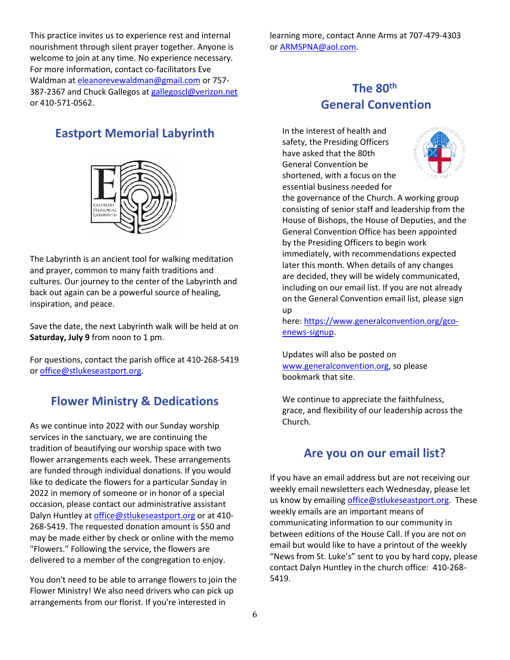This practice invites us to experience rest and internal nourishment through silent prayer together. Anyone is welcome to join at any time. No experience necessary. For more information, contact co-facilitators Eve Waldman at [eleanorevewaldman@gmail.com](mailto:eleanorevewaldman@gmail.com) or 757 387-2367 and Chuck Gallegos a[t gallegoscl@verizon.net](mailto:gallegoscl@verizon.net) or 410-571-0562.

#### **Eastport Memorial Labyrinth**



The Labyrinth is an ancient tool for walking meditation and prayer, common to many faith traditions and cultures. Our journey to the center of the Labyrinth and back out again can be a powerful source of healing, inspiration, and peace.

Save the date, the next Labyrinth walk will be held at on **Saturday, July 9** from noon to 1 pm.

For questions, contact the parish office at 410-268-5419 or [office@stlukeseastport.org.](mailto:office@stlukeseastport.org)

#### **Flower Ministry & Dedications**

As we continue into 2022 with our Sunday worship services in the sanctuary, we are continuing the tradition of beautifying our worship space with two flower arrangements each week. These arrangements are funded through individual donations. If you would like to dedicate the flowers for a particular Sunday in 2022 in memory of someone or in honor of a special occasion, please contact our administrative assistant Dalyn Huntley at [office@stlukeseastport.org](mailto:office@stlukeseastport.org) or at 410-268-5419. The requested donation amount is \$50 and may be made either by check or online with the memo "Flowers." Following the service, the flowers are delivered to a member of the congregation to enjoy.

You don't need to be able to arrange flowers to join the Flower Ministry! We also need drivers who can pick up arrangements from our florist. If you're interested in

learning more, contact Anne Arms at 707-479-4303 or [ARMSPNA@aol.com.](mailto:ARMSPNA@aol.com)

# **The 80th General Convention**

In the interest of health and safety, the Presiding Officers have asked that the 80th General Convention be shortened, with a focus on the essential business needed for



the governance of the Church. A working group consisting of senior staff and leadership from the House of Bishops, the House of Deputies, and the General Convention Office has been appointed by the Presiding Officers to begin work immediately, with recommendations expected later this month. When details of any changes are decided, they will be widely communicated, including on our email list. If you are not already on the General Convention email list, please sign up

here: [https://www.generalconvention.org/gco](https://nam11.safelinks.protection.outlook.com/?url=https%3A%2F%2Fwww.generalconvention.org%2Fgco-enews-signup&data=05%7C01%7Cbmurray%40episcopalchurch.org%7Cc9b3e06cffe84085e0f108da336be671%7Ca61a1be800f1406689423558df189805%7C0%7C0%7C637878835787394995%7CUnknown%7CTWFpbGZsb3d8eyJWIjoiMC4wLjAwMDAiLCJQIjoiV2luMzIiLCJBTiI6Ik1haWwiLCJXVCI6Mn0%3D%7C3000%7C%7C%7C&sdata=nguLAxhX89DbQg2fhwg9JvJM0V%2BTNYqSYyKXcH3YMaw%3D&reserved=0)[enews-signup.](https://nam11.safelinks.protection.outlook.com/?url=https%3A%2F%2Fwww.generalconvention.org%2Fgco-enews-signup&data=05%7C01%7Cbmurray%40episcopalchurch.org%7Cc9b3e06cffe84085e0f108da336be671%7Ca61a1be800f1406689423558df189805%7C0%7C0%7C637878835787394995%7CUnknown%7CTWFpbGZsb3d8eyJWIjoiMC4wLjAwMDAiLCJQIjoiV2luMzIiLCJBTiI6Ik1haWwiLCJXVCI6Mn0%3D%7C3000%7C%7C%7C&sdata=nguLAxhX89DbQg2fhwg9JvJM0V%2BTNYqSYyKXcH3YMaw%3D&reserved=0)

Updates will also be posted on [www.generalconvention.org,](http://www.generalconvention.org/) so please bookmark that site.

We continue to appreciate the faithfulness, grace, and flexibility of our leadership across the Church.

#### **Are you on our email list?**

If you have an email address but are not receiving our weekly email newsletters each Wednesday, please let us know by emailing [office@stlukeseastport.org.](mailto:office@stlukeseastport.org) These weekly emails are an important means of communicating information to our community in between editions of the House Call. If you are not on email but would like to have a printout of the weekly "News from St. Luke's" sent to you by hard copy, please contact Dalyn Huntley in the church office: 410-268- 5419.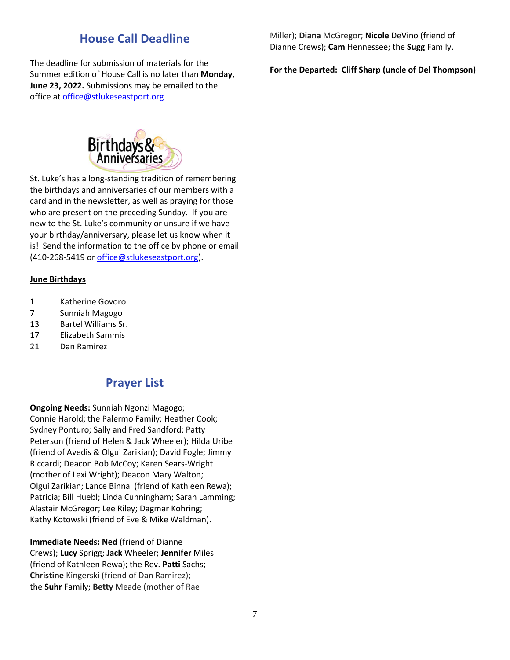## **House Call Deadline**

The deadline for submission of materials for the Summer edition of House Call is no later than **Monday, June 23, 2022.** Submissions may be emailed to the office at [office@stlukeseastport.org](mailto:office@stlukeseastport.org)

Miller); **Diana** McGregor; **Nicole** DeVino (friend of Dianne Crews); **Cam** Hennessee; the **Sugg** Family.

**For the Departed: Cliff Sharp (uncle of Del Thompson)**



St. Luke's has a long-standing tradition of remembering the birthdays and anniversaries of our members with a card and in the newsletter, as well as praying for those who are present on the preceding Sunday. If you are new to the St. Luke's community or unsure if we have your birthday/anniversary, please let us know when it is! Send the information to the office by phone or email (410-268-5419 o[r office@stlukeseastport.org\)](mailto:office@stlukeseastport.org).

#### **June Birthdays**

- 1 Katherine Govoro
- 7 Sunniah Magogo
- 13 Bartel Williams Sr.
- 17 Elizabeth Sammis
- 21 Dan Ramirez

#### **Prayer List**

**Ongoing Needs:** Sunniah Ngonzi Magogo; Connie Harold; the Palermo Family; Heather Cook; Sydney Ponturo; Sally and Fred Sandford; Patty Peterson (friend of Helen & Jack Wheeler); Hilda Uribe (friend of Avedis & Olgui Zarikian); David Fogle; Jimmy Riccardi; Deacon Bob McCoy; Karen Sears-Wright (mother of Lexi Wright); Deacon Mary Walton; Olgui Zarikian; Lance Binnal (friend of Kathleen Rewa); Patricia; Bill Huebl; Linda Cunningham; Sarah Lamming; Alastair McGregor; Lee Riley; Dagmar Kohring; Kathy Kotowski (friend of Eve & Mike Waldman).

**Immediate Needs: Ned** (friend of Dianne Crews); **Lucy** Sprigg; **Jack** Wheeler; **Jennifer** Miles (friend of Kathleen Rewa); the Rev. **Patti** Sachs; **Christine** Kingerski (friend of Dan Ramirez); the **Suhr** Family; **Betty** Meade (mother of Rae